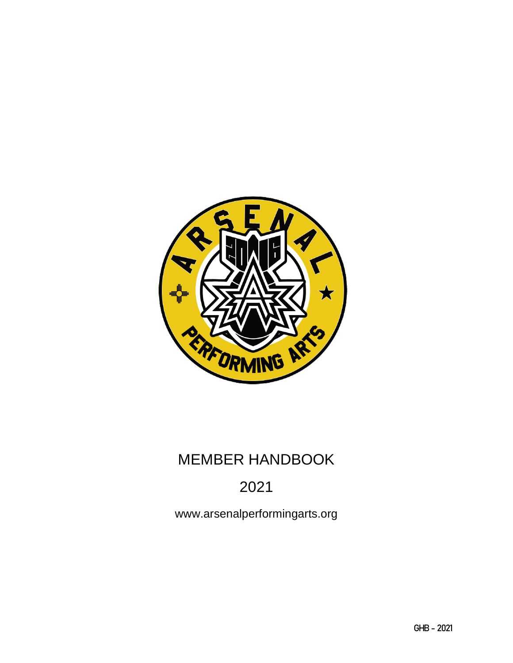

# MEMBER HANDBOOK

# 2021

www.arsenalperformingarts.org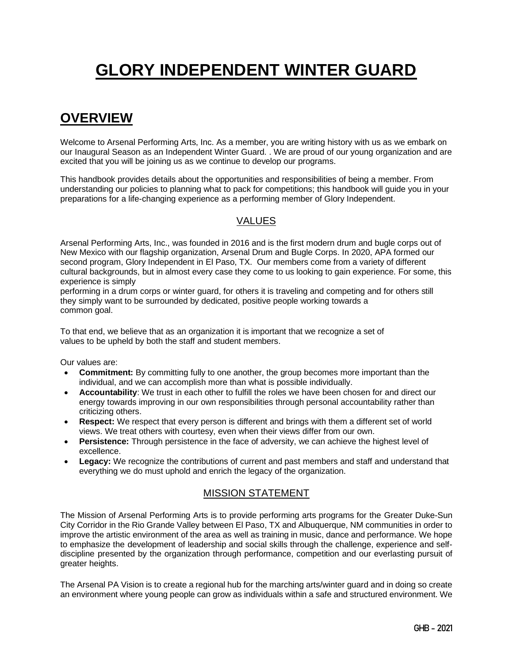# **GLORY INDEPENDENT WINTER GUARD**

## **OVERVIEW**

Welcome to Arsenal Performing Arts, Inc. As a member, you are writing history with us as we embark on our Inaugural Season as an Independent Winter Guard. . We are proud of our young organization and are excited that you will be joining us as we continue to develop our programs.

This handbook provides details about the opportunities and responsibilities of being a member. From understanding our policies to planning what to pack for competitions; this handbook will guide you in your preparations for a life-changing experience as a performing member of Glory Independent.

#### VALUES

Arsenal Performing Arts, Inc., was founded in 2016 and is the first modern drum and bugle corps out of New Mexico with our flagship organization, Arsenal Drum and Bugle Corps. In 2020, APA formed our second program, Glory Independent in El Paso, TX. Our members come from a variety of different cultural backgrounds, but in almost every case they come to us looking to gain experience. For some, this experience is simply

performing in a drum corps or winter guard, for others it is traveling and competing and for others still they simply want to be surrounded by dedicated, positive people working towards a common goal.

To that end, we believe that as an organization it is important that we recognize a set of values to be upheld by both the staff and student members.

Our values are:

- **Commitment:** By committing fully to one another, the group becomes more important than the individual, and we can accomplish more than what is possible individually.
- **Accountability**: We trust in each other to fulfill the roles we have been chosen for and direct our energy towards improving in our own responsibilities through personal accountability rather than criticizing others.
- **Respect:** We respect that every person is different and brings with them a different set of world views. We treat others with courtesy, even when their views differ from our own.
- **Persistence:** Through persistence in the face of adversity, we can achieve the highest level of excellence.
- **Legacy:** We recognize the contributions of current and past members and staff and understand that everything we do must uphold and enrich the legacy of the organization.

#### MISSION STATEMENT

The Mission of Arsenal Performing Arts is to provide performing arts programs for the Greater Duke-Sun City Corridor in the Rio Grande Valley between El Paso, TX and Albuquerque, NM communities in order to improve the artistic environment of the area as well as training in music, dance and performance. We hope to emphasize the development of leadership and social skills through the challenge, experience and selfdiscipline presented by the organization through performance, competition and our everlasting pursuit of greater heights.

The Arsenal PA Vision is to create a regional hub for the marching arts/winter guard and in doing so create an environment where young people can grow as individuals within a safe and structured environment. We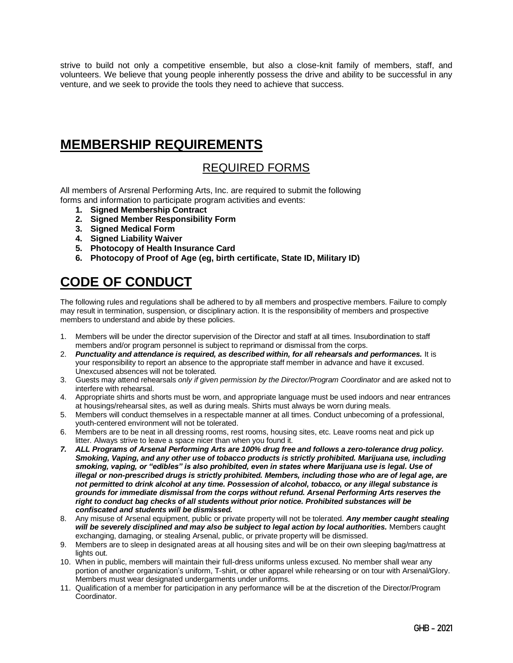strive to build not only a competitive ensemble, but also a close-knit family of members, staff, and volunteers. We believe that young people inherently possess the drive and ability to be successful in any venture, and we seek to provide the tools they need to achieve that success.

## **MEMBERSHIP REQUIREMENTS**

#### REQUIRED FORMS

All members of Arsrenal Performing Arts, Inc. are required to submit the following forms and information to participate program activities and events:

- **1. Signed Membership Contract**
- **2. Signed Member Responsibility Form**
- **3. Signed Medical Form**
- **4. Signed Liability Waiver**
- **5. Photocopy of Health Insurance Card**
- **6. Photocopy of Proof of Age (eg, birth certificate, State ID, Military ID)**

# **CODE OF CONDUCT**

The following rules and regulations shall be adhered to by all members and prospective members. Failure to comply may result in termination, suspension, or disciplinary action. It is the responsibility of members and prospective members to understand and abide by these policies.

- 1. Members will be under the director supervision of the Director and staff at all times. Insubordination to staff members and/or program personnel is subject to reprimand or dismissal from the corps.
- 2. *Punctuality and attendance is required, as described within, for all rehearsals and performances.* It is your responsibility to report an absence to the appropriate staff member in advance and have it excused. Unexcused absences will not be tolerated.
- 3. Guests may attend rehearsals *only if given permission by the Director/Program Coordinator* and are asked not to interfere with rehearsal.
- 4. Appropriate shirts and shorts must be worn, and appropriate language must be used indoors and near entrances at housings/rehearsal sites, as well as during meals. Shirts must always be worn during meals.
- 5. Members will conduct themselves in a respectable manner at all times. Conduct unbecoming of a professional, youth-centered environment will not be tolerated.
- 6. Members are to be neat in all dressing rooms, rest rooms, housing sites, etc. Leave rooms neat and pick up litter. Always strive to leave a space nicer than when you found it.
- *7. ALL Programs of Arsenal Performing Arts are 100% drug free and follows a zero-tolerance drug policy. Smoking, Vaping, and any other use of tobacco products is strictly prohibited. Marijuana use, including smoking, vaping, or "edibles" is also prohibited, even in states where Marijuana use is legal. Use of illegal or non-prescribed drugs is strictly prohibited. Members, including those who are of legal age, are not permitted to drink alcohol at any time. Possession of alcohol, tobacco, or any illegal substance is grounds for immediate dismissal from the corps without refund. Arsenal Performing Arts reserves the right to conduct bag checks of all students without prior notice. Prohibited substances will be confiscated and students will be dismissed.*
- 8. Any misuse of Arsenal equipment, public or private property will not be tolerated. *Any member caught stealing*  will be severely disciplined and may also be subject to legal action by local authorities. Members caught exchanging, damaging, or stealing Arsenal, public, or private property will be dismissed.
- 9. Members are to sleep in designated areas at all housing sites and will be on their own sleeping bag/mattress at lights out.
- 10. When in public, members will maintain their full-dress uniforms unless excused. No member shall wear any portion of another organization's uniform, T-shirt, or other apparel while rehearsing or on tour with Arsenal/Glory. Members must wear designated undergarments under uniforms.
- 11. Qualification of a member for participation in any performance will be at the discretion of the Director/Program Coordinator.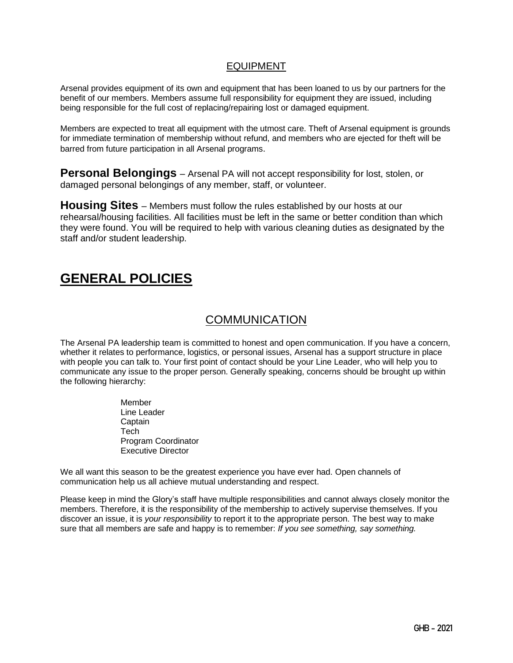#### EQUIPMENT

Arsenal provides equipment of its own and equipment that has been loaned to us by our partners for the benefit of our members. Members assume full responsibility for equipment they are issued, including being responsible for the full cost of replacing/repairing lost or damaged equipment.

Members are expected to treat all equipment with the utmost care. Theft of Arsenal equipment is grounds for immediate termination of membership without refund, and members who are ejected for theft will be barred from future participation in all Arsenal programs.

**Personal Belongings** – Arsenal PA will not accept responsibility for lost, stolen, or damaged personal belongings of any member, staff, or volunteer.

**Housing Sites** – Members must follow the rules established by our hosts at our rehearsal/housing facilities. All facilities must be left in the same or better condition than which they were found. You will be required to help with various cleaning duties as designated by the staff and/or student leadership.

## **GENERAL POLICIES**

#### **COMMUNICATION**

The Arsenal PA leadership team is committed to honest and open communication. If you have a concern, whether it relates to performance, logistics, or personal issues, Arsenal has a support structure in place with people you can talk to. Your first point of contact should be your Line Leader, who will help you to communicate any issue to the proper person. Generally speaking, concerns should be brought up within the following hierarchy:

> Member Line Leader **Captain Tech** Program Coordinator Executive Director

We all want this season to be the greatest experience you have ever had. Open channels of communication help us all achieve mutual understanding and respect.

Please keep in mind the Glory's staff have multiple responsibilities and cannot always closely monitor the members. Therefore, it is the responsibility of the membership to actively supervise themselves. If you discover an issue, it is *your responsibility* to report it to the appropriate person. The best way to make sure that all members are safe and happy is to remember: *If you see something, say something.*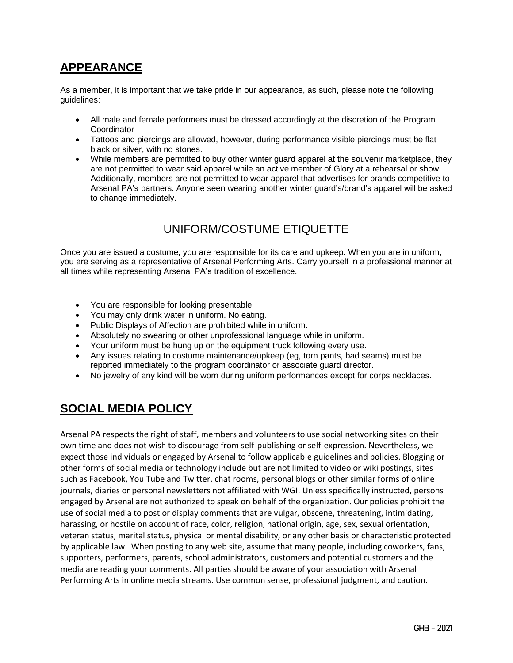## **APPEARANCE**

As a member, it is important that we take pride in our appearance, as such, please note the following guidelines:

- All male and female performers must be dressed accordingly at the discretion of the Program **Coordinator**
- Tattoos and piercings are allowed, however, during performance visible piercings must be flat black or silver, with no stones.
- While members are permitted to buy other winter guard apparel at the souvenir marketplace, they are not permitted to wear said apparel while an active member of Glory at a rehearsal or show. Additionally, members are not permitted to wear apparel that advertises for brands competitive to Arsenal PA's partners. Anyone seen wearing another winter guard's/brand's apparel will be asked to change immediately.

#### UNIFORM/COSTUME ETIQUETTE

Once you are issued a costume, you are responsible for its care and upkeep. When you are in uniform, you are serving as a representative of Arsenal Performing Arts. Carry yourself in a professional manner at all times while representing Arsenal PA's tradition of excellence.

- You are responsible for looking presentable
- You may only drink water in uniform. No eating.
- Public Displays of Affection are prohibited while in uniform.
- Absolutely no swearing or other unprofessional language while in uniform.
- Your uniform must be hung up on the equipment truck following every use.
- Any issues relating to costume maintenance/upkeep (eg, torn pants, bad seams) must be reported immediately to the program coordinator or associate guard director.
- No jewelry of any kind will be worn during uniform performances except for corps necklaces.

### **SOCIAL MEDIA POLICY**

Arsenal PA respects the right of staff, members and volunteers to use social networking sites on their own time and does not wish to discourage from self-publishing or self-expression. Nevertheless, we expect those individuals or engaged by Arsenal to follow applicable guidelines and policies. Blogging or other forms of social media or technology include but are not limited to video or wiki postings, sites such as Facebook, You Tube and Twitter, chat rooms, personal blogs or other similar forms of online journals, diaries or personal newsletters not affiliated with WGI. Unless specifically instructed, persons engaged by Arsenal are not authorized to speak on behalf of the organization. Our policies prohibit the use of social media to post or display comments that are vulgar, obscene, threatening, intimidating, harassing, or hostile on account of race, color, religion, national origin, age, sex, sexual orientation, veteran status, marital status, physical or mental disability, or any other basis or characteristic protected by applicable law. When posting to any web site, assume that many people, including coworkers, fans, supporters, performers, parents, school administrators, customers and potential customers and the media are reading your comments. All parties should be aware of your association with Arsenal Performing Arts in online media streams. Use common sense, professional judgment, and caution.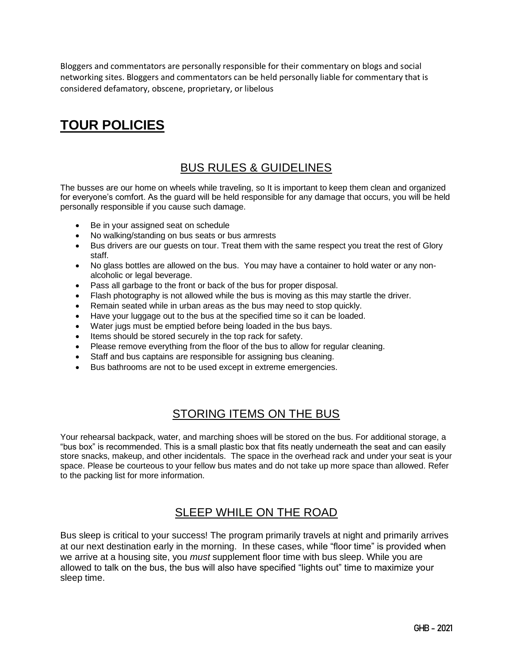Bloggers and commentators are personally responsible for their commentary on blogs and social networking sites. Bloggers and commentators can be held personally liable for commentary that is considered defamatory, obscene, proprietary, or libelous

# **TOUR POLICIES**

### BUS RULES & GUIDELINES

The busses are our home on wheels while traveling, so It is important to keep them clean and organized for everyone's comfort. As the guard will be held responsible for any damage that occurs, you will be held personally responsible if you cause such damage.

- Be in your assigned seat on schedule
- No walking/standing on bus seats or bus armrests
- Bus drivers are our guests on tour. Treat them with the same respect you treat the rest of Glory staff.
- No glass bottles are allowed on the bus. You may have a container to hold water or any nonalcoholic or legal beverage.
- Pass all garbage to the front or back of the bus for proper disposal.
- Flash photography is not allowed while the bus is moving as this may startle the driver.
- Remain seated while in urban areas as the bus may need to stop quickly.
- Have your luggage out to the bus at the specified time so it can be loaded.
- Water jugs must be emptied before being loaded in the bus bays.
- Items should be stored securely in the top rack for safety.
- Please remove everything from the floor of the bus to allow for regular cleaning.
- Staff and bus captains are responsible for assigning bus cleaning.
- Bus bathrooms are not to be used except in extreme emergencies.

#### STORING ITEMS ON THE BUS

Your rehearsal backpack, water, and marching shoes will be stored on the bus. For additional storage, a "bus box" is recommended. This is a small plastic box that fits neatly underneath the seat and can easily store snacks, makeup, and other incidentals. The space in the overhead rack and under your seat is your space. Please be courteous to your fellow bus mates and do not take up more space than allowed. Refer to the packing list for more information.

### SLEEP WHILE ON THE ROAD

Bus sleep is critical to your success! The program primarily travels at night and primarily arrives at our next destination early in the morning. In these cases, while "floor time" is provided when we arrive at a housing site, you *must* supplement floor time with bus sleep. While you are allowed to talk on the bus, the bus will also have specified "lights out" time to maximize your sleep time.